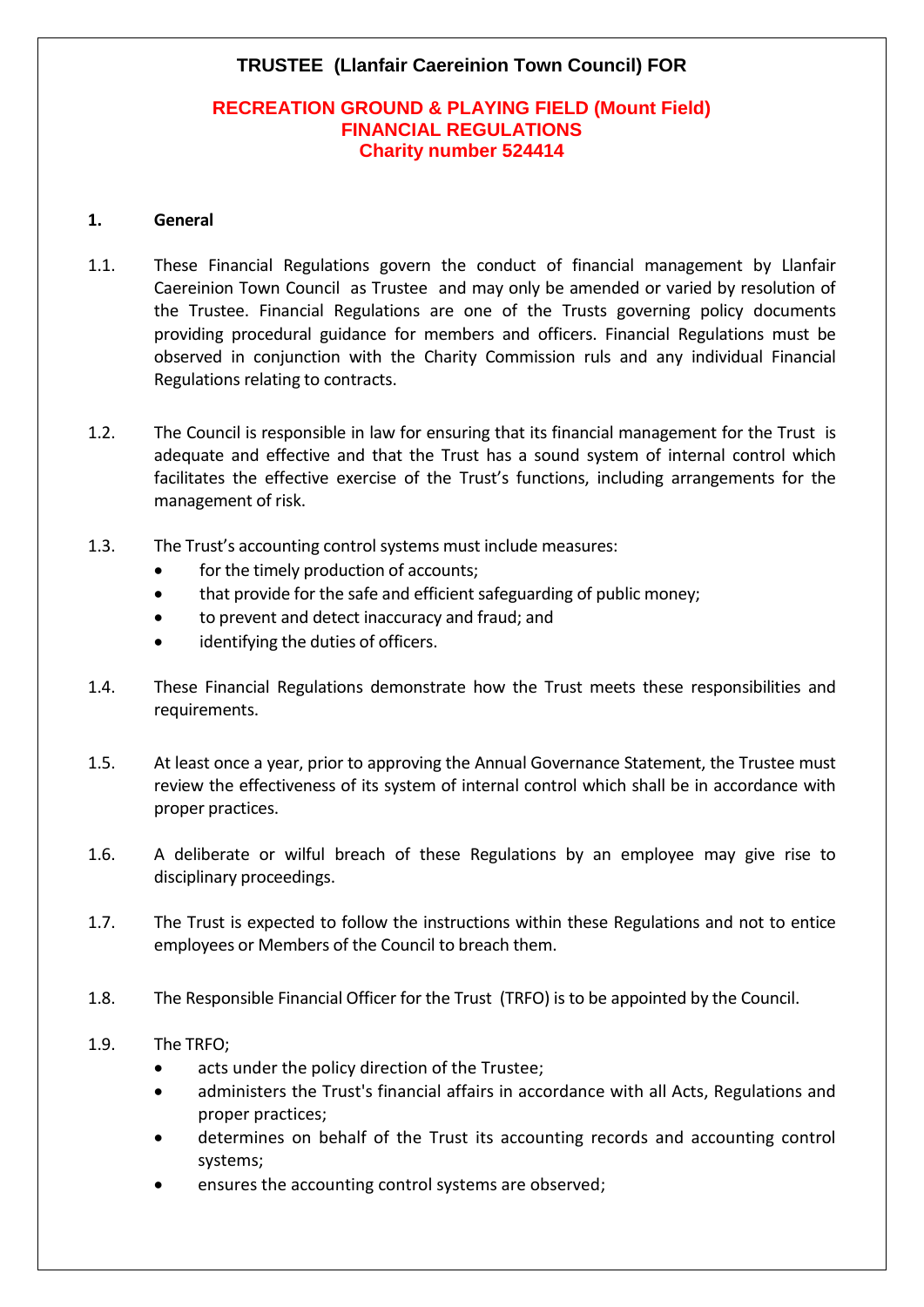# **TRUSTEE (Llanfair Caereinion Town Council) FOR**

## **RECREATION GROUND & PLAYING FIELD (Mount Field) FINANCIAL REGULATIONS Charity number 524414**

#### **1. General**

- 1.1. These Financial Regulations govern the conduct of financial management by Llanfair Caereinion Town Council as Trustee and may only be amended or varied by resolution of the Trustee. Financial Regulations are one of the Trusts governing policy documents providing procedural guidance for members and officers. Financial Regulations must be observed in conjunction with the Charity Commission ruls and any individual Financial Regulations relating to contracts.
- 1.2. The Council is responsible in law for ensuring that its financial management for the Trust is adequate and effective and that the Trust has a sound system of internal control which facilitates the effective exercise of the Trust's functions, including arrangements for the management of risk.
- 1.3. The Trust's accounting control systems must include measures:
	- for the timely production of accounts;
	- that provide for the safe and efficient safeguarding of public money;
	- to prevent and detect inaccuracy and fraud; and
	- identifying the duties of officers.
- 1.4. These Financial Regulations demonstrate how the Trust meets these responsibilities and requirements.
- 1.5. At least once a year, prior to approving the Annual Governance Statement, the Trustee must review the effectiveness of its system of internal control which shall be in accordance with proper practices.
- 1.6. A deliberate or wilful breach of these Regulations by an employee may give rise to disciplinary proceedings.
- 1.7. The Trust is expected to follow the instructions within these Regulations and not to entice employees or Members of the Council to breach them.
- 1.8. The Responsible Financial Officer for the Trust (TRFO) is to be appointed by the Council.
- 1.9. The TRFO;
	- acts under the policy direction of the Trustee;
	- administers the Trust's financial affairs in accordance with all Acts, Regulations and proper practices;
	- determines on behalf of the Trust its accounting records and accounting control systems;
	- ensures the accounting control systems are observed;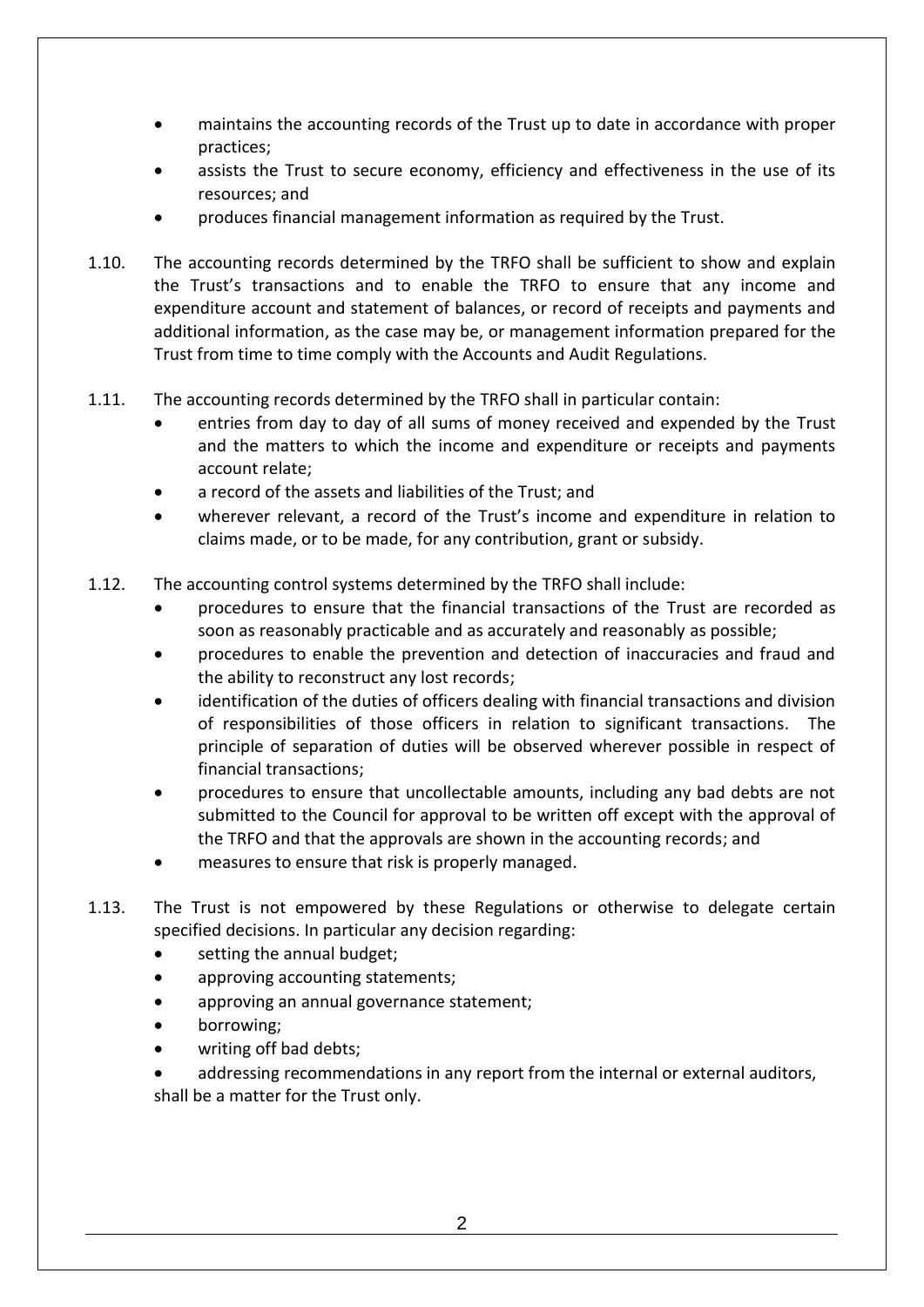- maintains the accounting records of the Trust up to date in accordance with proper practices;
- assists the Trust to secure economy, efficiency and effectiveness in the use of its resources; and
- produces financial management information as required by the Trust.
- 1.10. The accounting records determined by the TRFO shall be sufficient to show and explain the Trust's transactions and to enable the TRFO to ensure that any income and expenditure account and statement of balances, or record of receipts and payments and additional information, as the case may be, or management information prepared for the Trust from time to time comply with the Accounts and Audit Regulations.
- 1.11. The accounting records determined by the TRFO shall in particular contain:
	- entries from day to day of all sums of money received and expended by the Trust and the matters to which the income and expenditure or receipts and payments account relate;
	- a record of the assets and liabilities of the Trust; and
	- wherever relevant, a record of the Trust's income and expenditure in relation to claims made, or to be made, for any contribution, grant or subsidy.
- 1.12. The accounting control systems determined by the TRFO shall include:
	- procedures to ensure that the financial transactions of the Trust are recorded as soon as reasonably practicable and as accurately and reasonably as possible;
	- procedures to enable the prevention and detection of inaccuracies and fraud and the ability to reconstruct any lost records;
	- identification of the duties of officers dealing with financial transactions and division of responsibilities of those officers in relation to significant transactions. The principle of separation of duties will be observed wherever possible in respect of financial transactions;
	- procedures to ensure that uncollectable amounts, including any bad debts are not submitted to the Council for approval to be written off except with the approval of the TRFO and that the approvals are shown in the accounting records; and
	- measures to ensure that risk is properly managed.
- 1.13. The Trust is not empowered by these Regulations or otherwise to delegate certain specified decisions. In particular any decision regarding:
	- setting the annual budget;
	- approving accounting statements;
	- approving an annual governance statement;
	- borrowing;
	- writing off bad debts;
	- addressing recommendations in any report from the internal or external auditors, shall be a matter for the Trust only.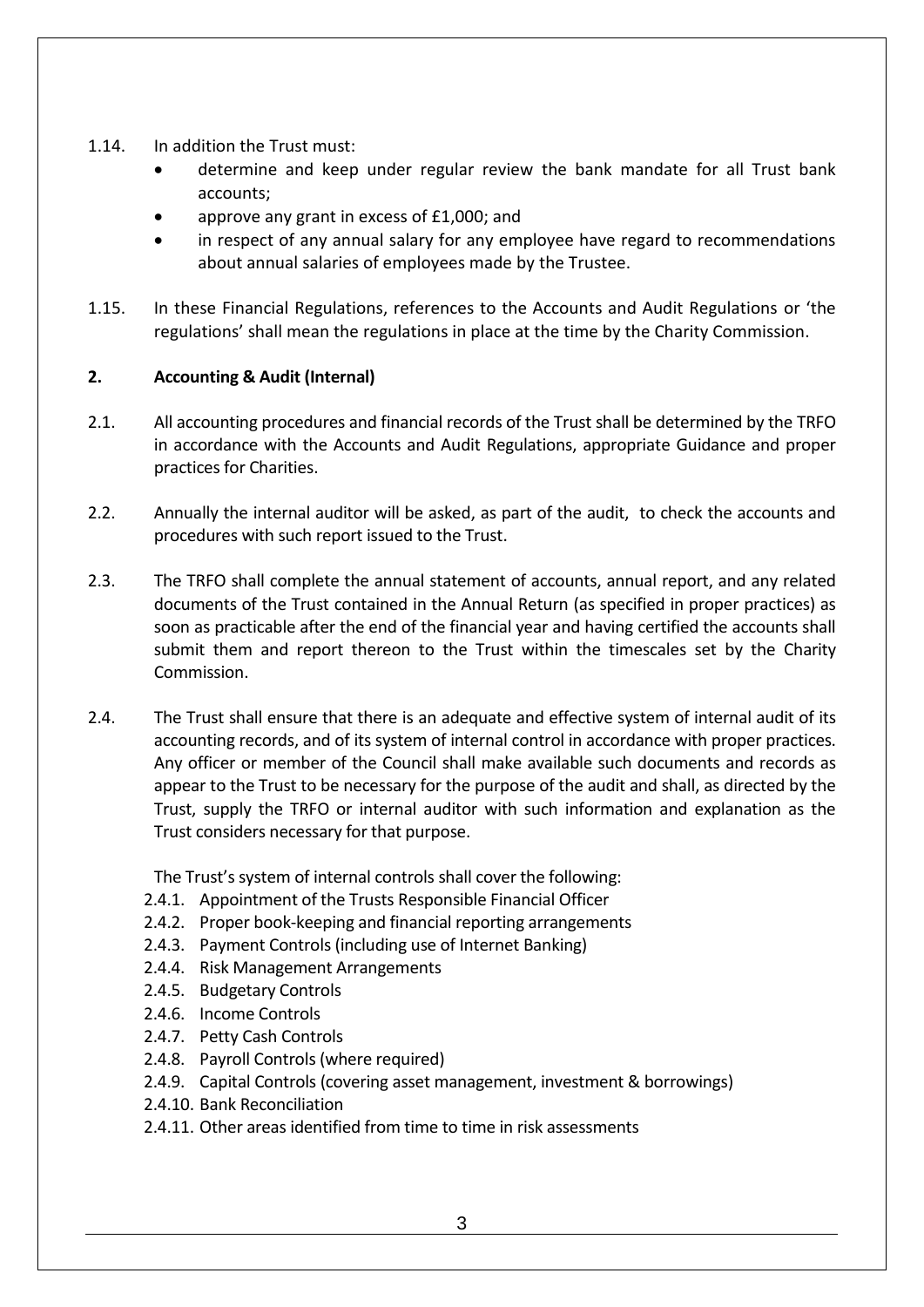- 1.14. In addition the Trust must:
	- determine and keep under regular review the bank mandate for all Trust bank accounts;
	- approve any grant in excess of £1,000; and
	- in respect of any annual salary for any employee have regard to recommendations about annual salaries of employees made by the Trustee.
- 1.15. In these Financial Regulations, references to the Accounts and Audit Regulations or 'the regulations' shall mean the regulations in place at the time by the Charity Commission.

# **2. Accounting & Audit (Internal)**

- 2.1. All accounting procedures and financial records of the Trust shall be determined by the TRFO in accordance with the Accounts and Audit Regulations, appropriate Guidance and proper practices for Charities.
- 2.2. Annually the internal auditor will be asked, as part of the audit, to check the accounts and procedures with such report issued to the Trust.
- 2.3. The TRFO shall complete the annual statement of accounts, annual report, and any related documents of the Trust contained in the Annual Return (as specified in proper practices) as soon as practicable after the end of the financial year and having certified the accounts shall submit them and report thereon to the Trust within the timescales set by the Charity Commission.
- 2.4. The Trust shall ensure that there is an adequate and effective system of internal audit of its accounting records, and of its system of internal control in accordance with proper practices. Any officer or member of the Council shall make available such documents and records as appear to the Trust to be necessary for the purpose of the audit and shall, as directed by the Trust, supply the TRFO or internal auditor with such information and explanation as the Trust considers necessary for that purpose.

The Trust's system of internal controls shall cover the following:

- 2.4.1. Appointment of the Trusts Responsible Financial Officer
- 2.4.2. Proper book-keeping and financial reporting arrangements
- 2.4.3. Payment Controls (including use of Internet Banking)
- 2.4.4. Risk Management Arrangements
- 2.4.5. Budgetary Controls
- 2.4.6. Income Controls
- 2.4.7. Petty Cash Controls
- 2.4.8. Payroll Controls (where required)
- 2.4.9. Capital Controls (covering asset management, investment & borrowings)
- 2.4.10. Bank Reconciliation
- 2.4.11. Other areas identified from time to time in risk assessments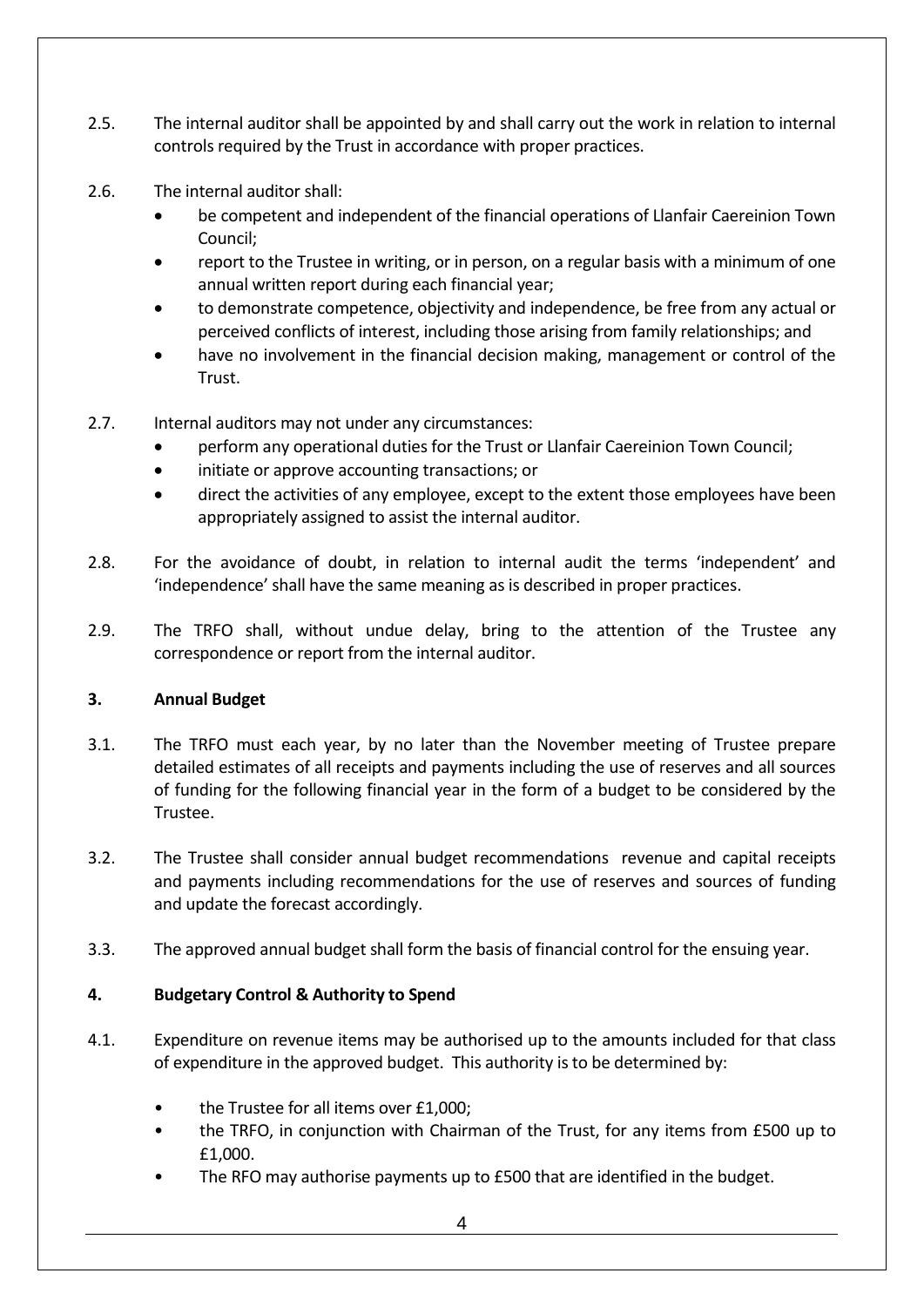- 2.5. The internal auditor shall be appointed by and shall carry out the work in relation to internal controls required by the Trust in accordance with proper practices.
- 2.6. The internal auditor shall:
	- be competent and independent of the financial operations of Llanfair Caereinion Town Council;
	- report to the Trustee in writing, or in person, on a regular basis with a minimum of one annual written report during each financial year;
	- to demonstrate competence, objectivity and independence, be free from any actual or perceived conflicts of interest, including those arising from family relationships; and
	- have no involvement in the financial decision making, management or control of the Trust.
- 2.7. Internal auditors may not under any circumstances:
	- perform any operational duties for the Trust or Llanfair Caereinion Town Council;
	- initiate or approve accounting transactions; or
	- direct the activities of any employee, except to the extent those employees have been appropriately assigned to assist the internal auditor.
- 2.8. For the avoidance of doubt, in relation to internal audit the terms 'independent' and 'independence' shall have the same meaning as is described in proper practices.
- 2.9. The TRFO shall, without undue delay, bring to the attention of the Trustee any correspondence or report from the internal auditor.

## **3. Annual Budget**

- 3.1. The TRFO must each year, by no later than the November meeting of Trustee prepare detailed estimates of all receipts and payments including the use of reserves and all sources of funding for the following financial year in the form of a budget to be considered by the Trustee.
- 3.2. The Trustee shall consider annual budget recommendations revenue and capital receipts and payments including recommendations for the use of reserves and sources of funding and update the forecast accordingly.
- 3.3. The approved annual budget shall form the basis of financial control for the ensuing year.

# **4. Budgetary Control & Authority to Spend**

- 4.1. Expenditure on revenue items may be authorised up to the amounts included for that class of expenditure in the approved budget. This authority is to be determined by:
	- the Trustee for all items over £1,000;
	- the TRFO, in conjunction with Chairman of the Trust, for any items from £500 up to £1,000.
	- The RFO may authorise payments up to £500 that are identified in the budget.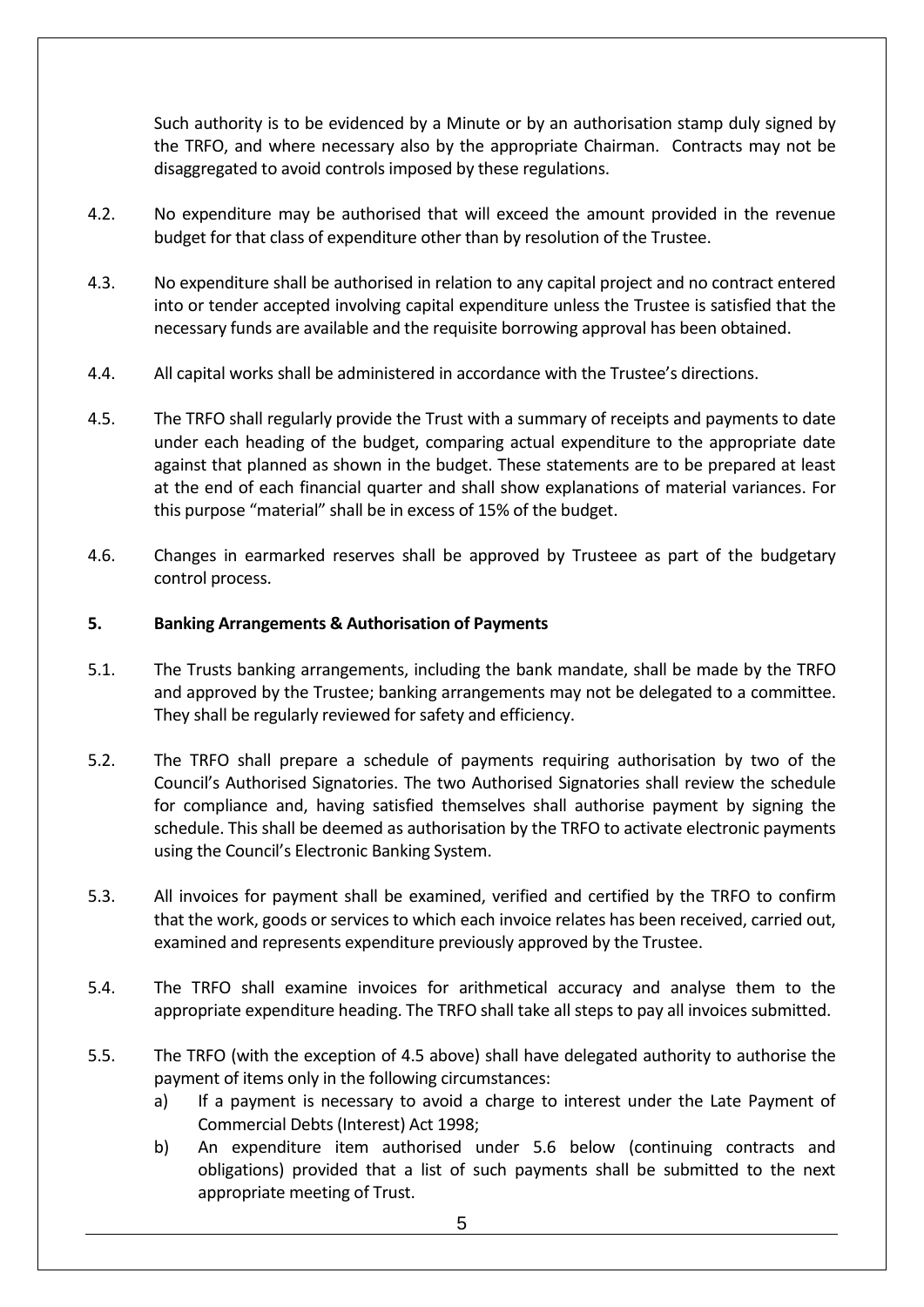Such authority is to be evidenced by a Minute or by an authorisation stamp duly signed by the TRFO, and where necessary also by the appropriate Chairman. Contracts may not be disaggregated to avoid controls imposed by these regulations.

- 4.2. No expenditure may be authorised that will exceed the amount provided in the revenue budget for that class of expenditure other than by resolution of the Trustee.
- 4.3. No expenditure shall be authorised in relation to any capital project and no contract entered into or tender accepted involving capital expenditure unless the Trustee is satisfied that the necessary funds are available and the requisite borrowing approval has been obtained.
- 4.4. All capital works shall be administered in accordance with the Trustee's directions.
- 4.5. The TRFO shall regularly provide the Trust with a summary of receipts and payments to date under each heading of the budget, comparing actual expenditure to the appropriate date against that planned as shown in the budget. These statements are to be prepared at least at the end of each financial quarter and shall show explanations of material variances. For this purpose "material" shall be in excess of 15% of the budget.
- 4.6. Changes in earmarked reserves shall be approved by Trusteee as part of the budgetary control process.

## **5. Banking Arrangements & Authorisation of Payments**

- 5.1. The Trusts banking arrangements, including the bank mandate, shall be made by the TRFO and approved by the Trustee; banking arrangements may not be delegated to a committee. They shall be regularly reviewed for safety and efficiency.
- 5.2. The TRFO shall prepare a schedule of payments requiring authorisation by two of the Council's Authorised Signatories. The two Authorised Signatories shall review the schedule for compliance and, having satisfied themselves shall authorise payment by signing the schedule. This shall be deemed as authorisation by the TRFO to activate electronic payments using the Council's Electronic Banking System.
- 5.3. All invoices for payment shall be examined, verified and certified by the TRFO to confirm that the work, goods or services to which each invoice relates has been received, carried out, examined and represents expenditure previously approved by the Trustee.
- 5.4. The TRFO shall examine invoices for arithmetical accuracy and analyse them to the appropriate expenditure heading. The TRFO shall take all steps to pay all invoices submitted.
- 5.5. The TRFO (with the exception of 4.5 above) shall have delegated authority to authorise the payment of items only in the following circumstances:
	- a) If a payment is necessary to avoid a charge to interest under the Late Payment of Commercial Debts (Interest) Act 1998;
	- b) An expenditure item authorised under 5.6 below (continuing contracts and obligations) provided that a list of such payments shall be submitted to the next appropriate meeting of Trust.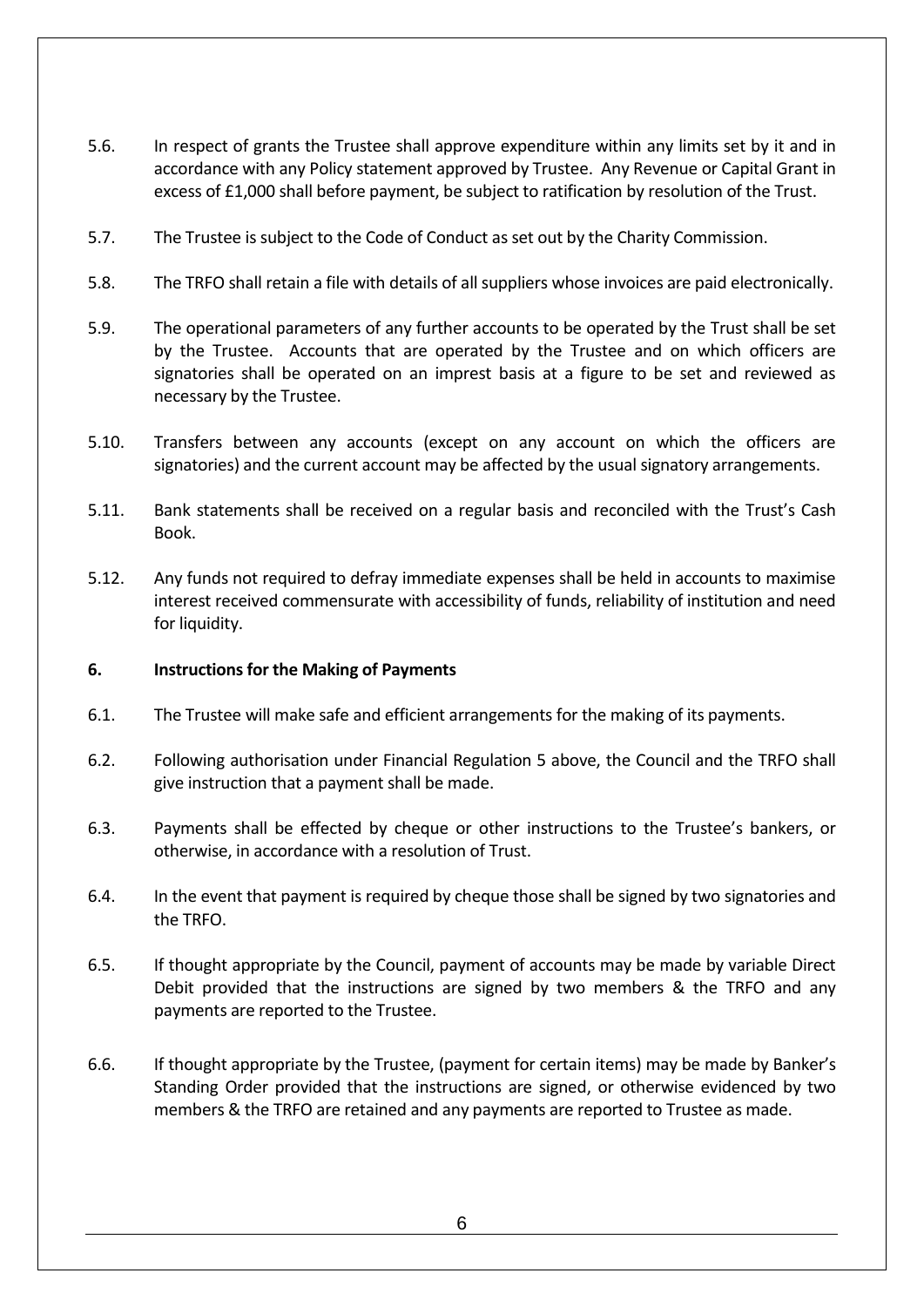- 5.6. In respect of grants the Trustee shall approve expenditure within any limits set by it and in accordance with any Policy statement approved by Trustee. Any Revenue or Capital Grant in excess of £1,000 shall before payment, be subject to ratification by resolution of the Trust.
- 5.7. The Trustee is subject to the Code of Conduct as set out by the Charity Commission.
- 5.8. The TRFO shall retain a file with details of all suppliers whose invoices are paid electronically.
- 5.9. The operational parameters of any further accounts to be operated by the Trust shall be set by the Trustee. Accounts that are operated by the Trustee and on which officers are signatories shall be operated on an imprest basis at a figure to be set and reviewed as necessary by the Trustee.
- 5.10. Transfers between any accounts (except on any account on which the officers are signatories) and the current account may be affected by the usual signatory arrangements.
- 5.11. Bank statements shall be received on a regular basis and reconciled with the Trust's Cash Book.
- 5.12. Any funds not required to defray immediate expenses shall be held in accounts to maximise interest received commensurate with accessibility of funds, reliability of institution and need for liquidity.

#### **6. Instructions for the Making of Payments**

- 6.1. The Trustee will make safe and efficient arrangements for the making of its payments.
- 6.2. Following authorisation under Financial Regulation 5 above, the Council and the TRFO shall give instruction that a payment shall be made.
- 6.3. Payments shall be effected by cheque or other instructions to the Trustee's bankers, or otherwise, in accordance with a resolution of Trust.
- 6.4. In the event that payment is required by cheque those shall be signed by two signatories and the TRFO.
- 6.5. If thought appropriate by the Council, payment of accounts may be made by variable Direct Debit provided that the instructions are signed by two members & the TRFO and any payments are reported to the Trustee.
- 6.6. If thought appropriate by the Trustee, (payment for certain items) may be made by Banker's Standing Order provided that the instructions are signed, or otherwise evidenced by two members & the TRFO are retained and any payments are reported to Trustee as made.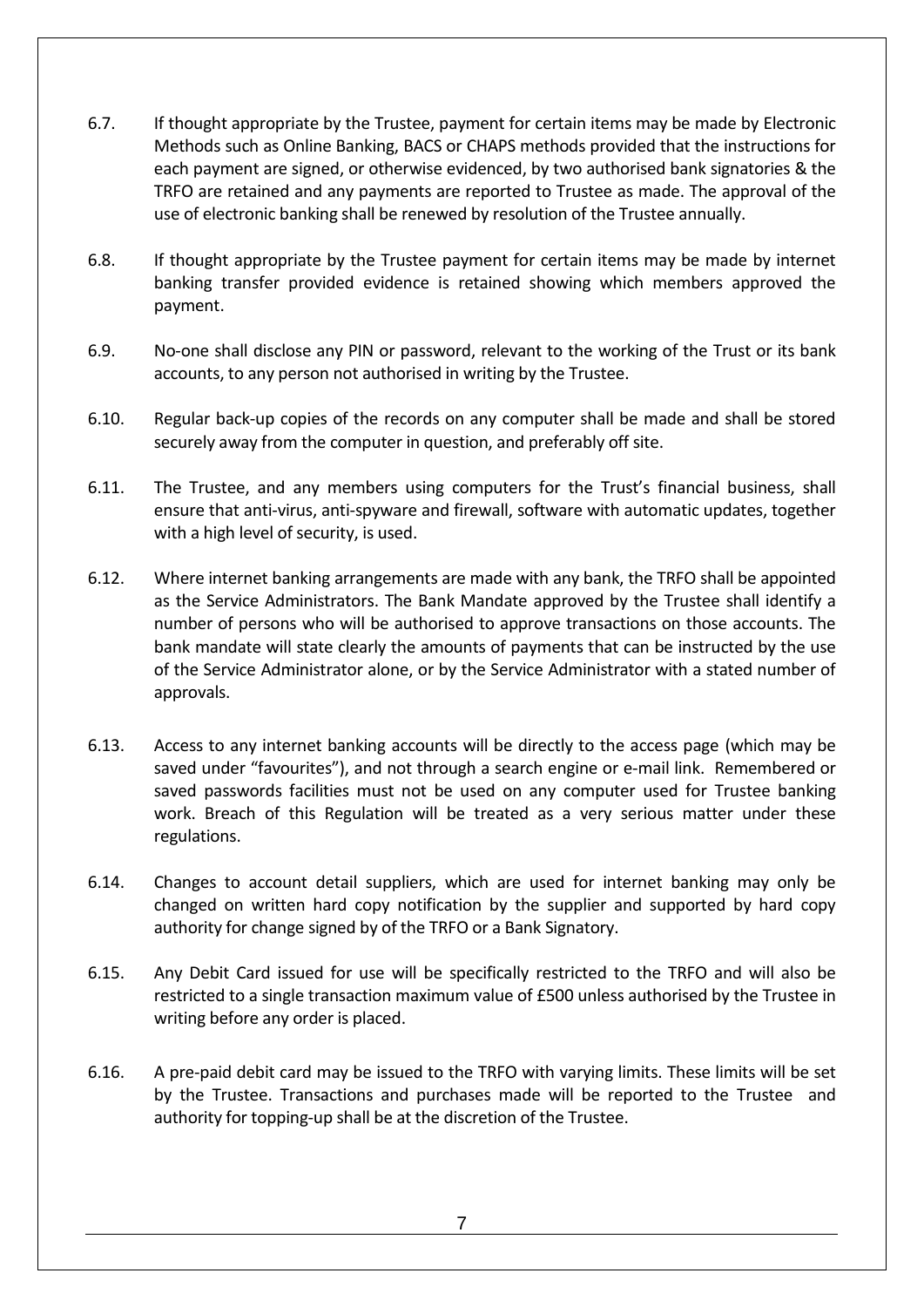- 6.7. If thought appropriate by the Trustee, payment for certain items may be made by Electronic Methods such as Online Banking, BACS or CHAPS methods provided that the instructions for each payment are signed, or otherwise evidenced, by two authorised bank signatories & the TRFO are retained and any payments are reported to Trustee as made. The approval of the use of electronic banking shall be renewed by resolution of the Trustee annually.
- 6.8. If thought appropriate by the Trustee payment for certain items may be made by internet banking transfer provided evidence is retained showing which members approved the payment.
- 6.9. No-one shall disclose any PIN or password, relevant to the working of the Trust or its bank accounts, to any person not authorised in writing by the Trustee.
- 6.10. Regular back-up copies of the records on any computer shall be made and shall be stored securely away from the computer in question, and preferably off site.
- 6.11. The Trustee, and any members using computers for the Trust's financial business, shall ensure that anti-virus, anti-spyware and firewall, software with automatic updates, together with a high level of security, is used.
- 6.12. Where internet banking arrangements are made with any bank, the TRFO shall be appointed as the Service Administrators. The Bank Mandate approved by the Trustee shall identify a number of persons who will be authorised to approve transactions on those accounts. The bank mandate will state clearly the amounts of payments that can be instructed by the use of the Service Administrator alone, or by the Service Administrator with a stated number of approvals.
- 6.13. Access to any internet banking accounts will be directly to the access page (which may be saved under "favourites"), and not through a search engine or e-mail link. Remembered or saved passwords facilities must not be used on any computer used for Trustee banking work. Breach of this Regulation will be treated as a very serious matter under these regulations.
- 6.14. Changes to account detail suppliers, which are used for internet banking may only be changed on written hard copy notification by the supplier and supported by hard copy authority for change signed by of the TRFO or a Bank Signatory.
- 6.15. Any Debit Card issued for use will be specifically restricted to the TRFO and will also be restricted to a single transaction maximum value of £500 unless authorised by the Trustee in writing before any order is placed.
- 6.16. A pre-paid debit card may be issued to the TRFO with varying limits. These limits will be set by the Trustee. Transactions and purchases made will be reported to the Trustee and authority for topping-up shall be at the discretion of the Trustee.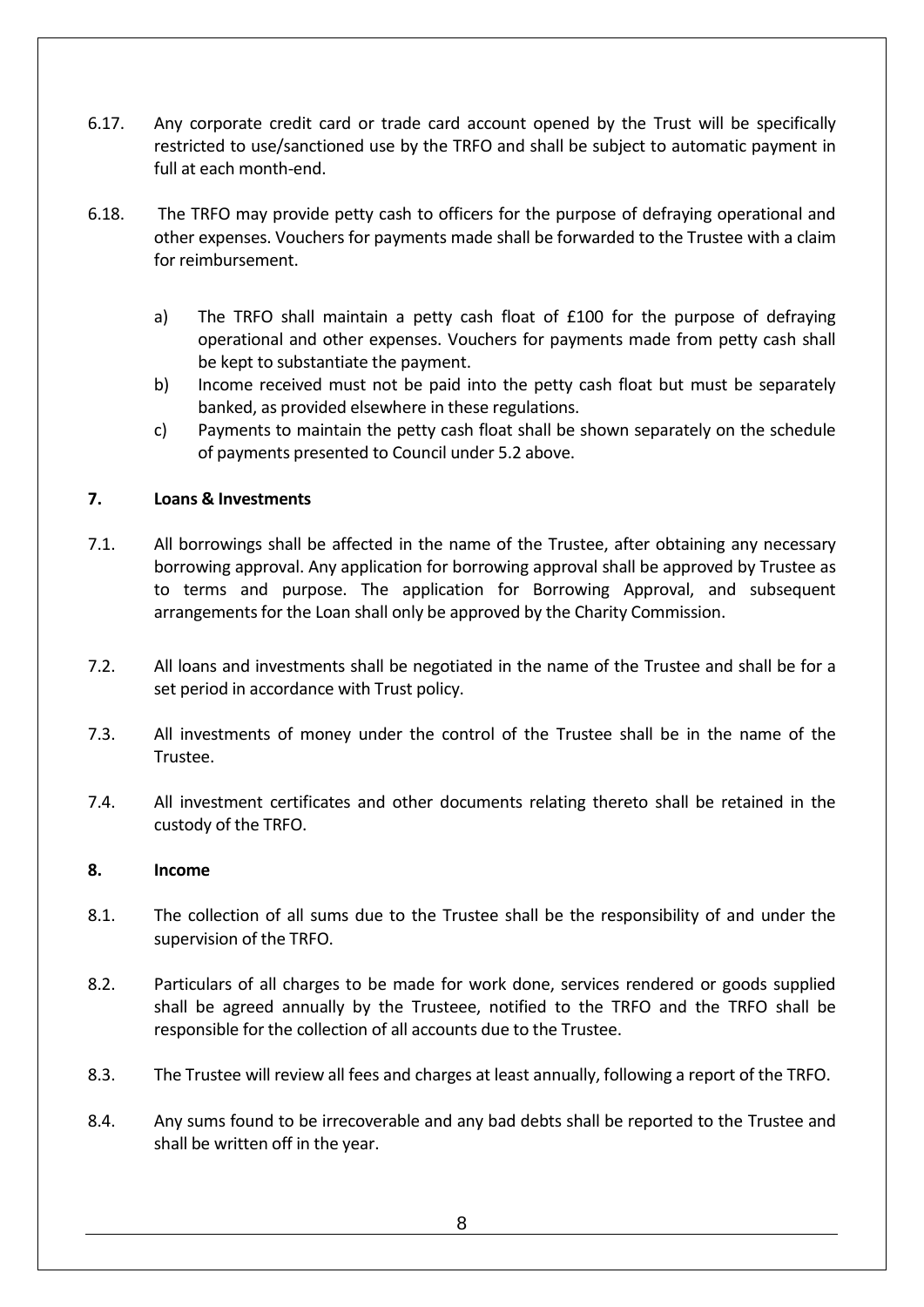- 6.17. Any corporate credit card or trade card account opened by the Trust will be specifically restricted to use/sanctioned use by the TRFO and shall be subject to automatic payment in full at each month-end.
- 6.18. The TRFO may provide petty cash to officers for the purpose of defraying operational and other expenses. Vouchers for payments made shall be forwarded to the Trustee with a claim for reimbursement.
	- a) The TRFO shall maintain a petty cash float of £100 for the purpose of defraying operational and other expenses. Vouchers for payments made from petty cash shall be kept to substantiate the payment.
	- b) Income received must not be paid into the petty cash float but must be separately banked, as provided elsewhere in these regulations.
	- c) Payments to maintain the petty cash float shall be shown separately on the schedule of payments presented to Council under 5.2 above.

# **7. Loans & Investments**

- 7.1. All borrowings shall be affected in the name of the Trustee, after obtaining any necessary borrowing approval. Any application for borrowing approval shall be approved by Trustee as to terms and purpose. The application for Borrowing Approval, and subsequent arrangements for the Loan shall only be approved by the Charity Commission.
- 7.2. All loans and investments shall be negotiated in the name of the Trustee and shall be for a set period in accordance with Trust policy.
- 7.3. All investments of money under the control of the Trustee shall be in the name of the Trustee.
- 7.4. All investment certificates and other documents relating thereto shall be retained in the custody of the TRFO.

## **8. Income**

- 8.1. The collection of all sums due to the Trustee shall be the responsibility of and under the supervision of the TRFO.
- 8.2. Particulars of all charges to be made for work done, services rendered or goods supplied shall be agreed annually by the Trusteee, notified to the TRFO and the TRFO shall be responsible for the collection of all accounts due to the Trustee.
- 8.3. The Trustee will review all fees and charges at least annually, following a report of the TRFO.
- 8.4. Any sums found to be irrecoverable and any bad debts shall be reported to the Trustee and shall be written off in the year.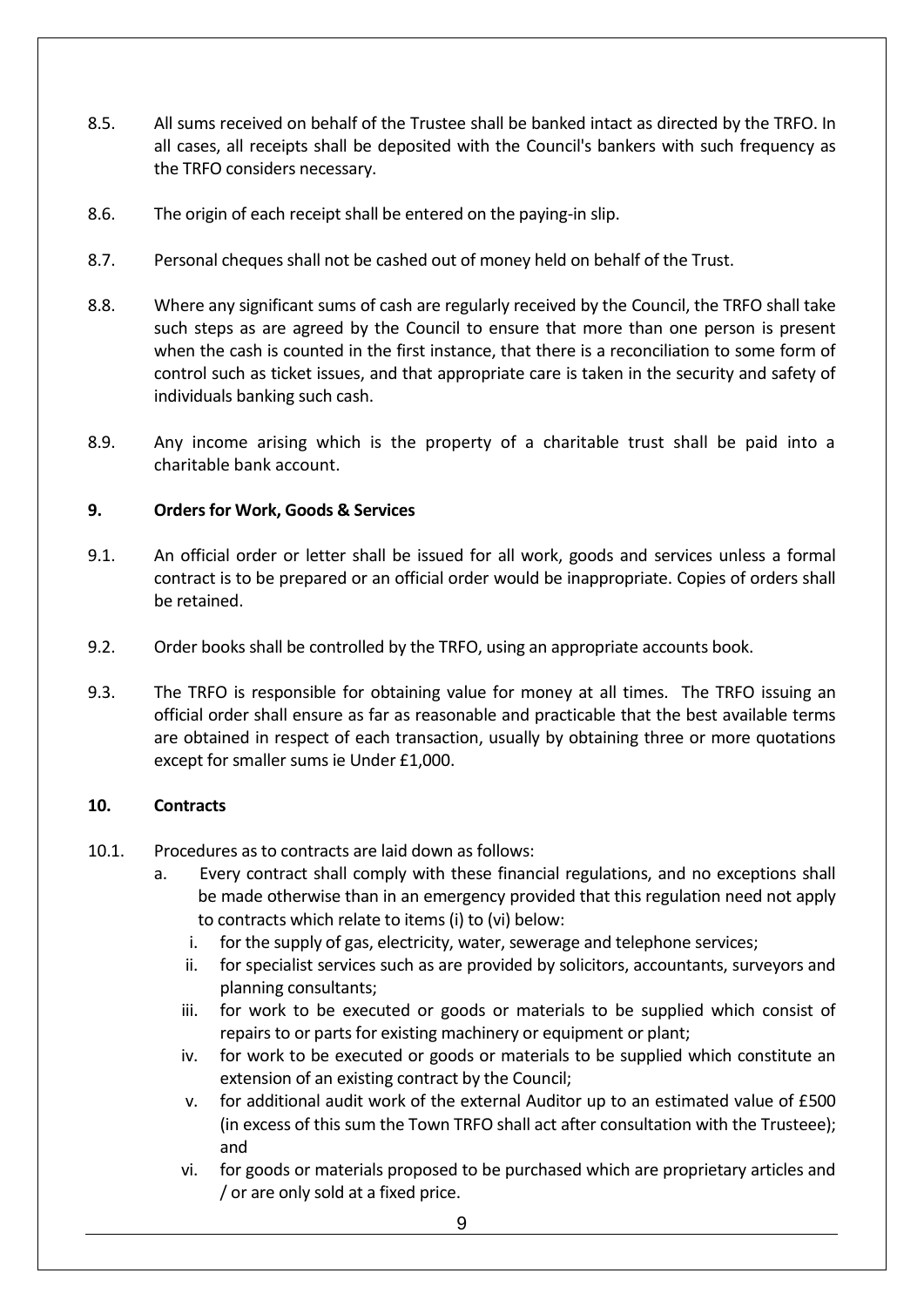- 8.5. All sums received on behalf of the Trustee shall be banked intact as directed by the TRFO. In all cases, all receipts shall be deposited with the Council's bankers with such frequency as the TRFO considers necessary.
- 8.6. The origin of each receipt shall be entered on the paying-in slip.
- 8.7. Personal cheques shall not be cashed out of money held on behalf of the Trust.
- 8.8. Where any significant sums of cash are regularly received by the Council, the TRFO shall take such steps as are agreed by the Council to ensure that more than one person is present when the cash is counted in the first instance, that there is a reconciliation to some form of control such as ticket issues, and that appropriate care is taken in the security and safety of individuals banking such cash.
- 8.9. Any income arising which is the property of a charitable trust shall be paid into a charitable bank account.

# **9. Orders for Work, Goods & Services**

- 9.1. An official order or letter shall be issued for all work, goods and services unless a formal contract is to be prepared or an official order would be inappropriate. Copies of orders shall be retained.
- 9.2. Order books shall be controlled by the TRFO, using an appropriate accounts book.
- 9.3. The TRFO is responsible for obtaining value for money at all times. The TRFO issuing an official order shall ensure as far as reasonable and practicable that the best available terms are obtained in respect of each transaction, usually by obtaining three or more quotations except for smaller sums ie Under £1,000.

## **10. Contracts**

- 10.1. Procedures as to contracts are laid down as follows:
	- a. Every contract shall comply with these financial regulations, and no exceptions shall be made otherwise than in an emergency provided that this regulation need not apply to contracts which relate to items (i) to (vi) below:
		- i. for the supply of gas, electricity, water, sewerage and telephone services;
		- ii. for specialist services such as are provided by solicitors, accountants, surveyors and planning consultants;
		- iii. for work to be executed or goods or materials to be supplied which consist of repairs to or parts for existing machinery or equipment or plant;
		- iv. for work to be executed or goods or materials to be supplied which constitute an extension of an existing contract by the Council;
		- v. for additional audit work of the external Auditor up to an estimated value of £500 (in excess of this sum the Town TRFO shall act after consultation with the Trusteee); and
		- vi. for goods or materials proposed to be purchased which are proprietary articles and / or are only sold at a fixed price.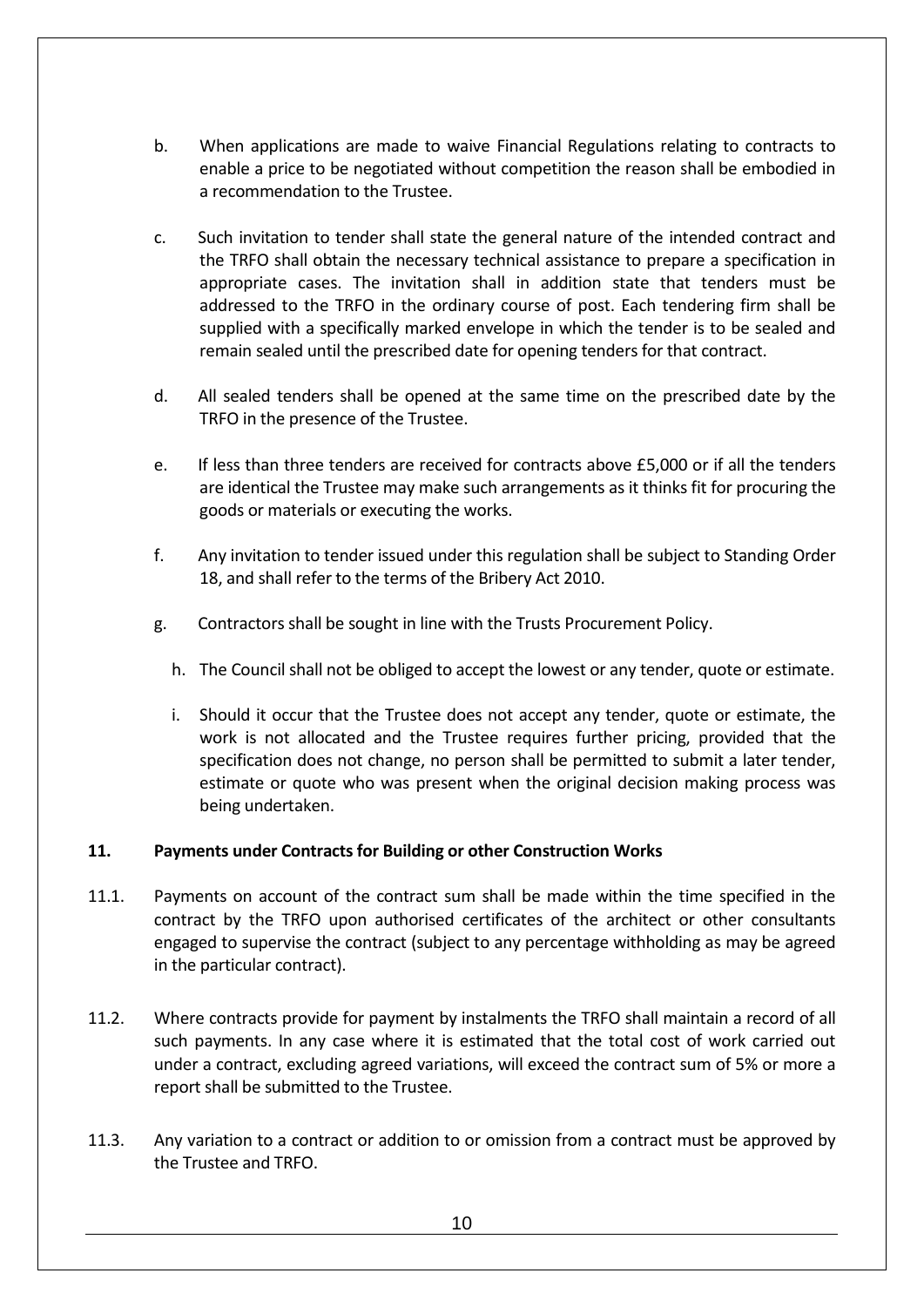- b. When applications are made to waive Financial Regulations relating to contracts to enable a price to be negotiated without competition the reason shall be embodied in a recommendation to the Trustee.
- c. Such invitation to tender shall state the general nature of the intended contract and the TRFO shall obtain the necessary technical assistance to prepare a specification in appropriate cases. The invitation shall in addition state that tenders must be addressed to the TRFO in the ordinary course of post. Each tendering firm shall be supplied with a specifically marked envelope in which the tender is to be sealed and remain sealed until the prescribed date for opening tenders for that contract.
- d. All sealed tenders shall be opened at the same time on the prescribed date by the TRFO in the presence of the Trustee.
- e. If less than three tenders are received for contracts above £5,000 or if all the tenders are identical the Trustee may make such arrangements as it thinks fit for procuring the goods or materials or executing the works.
- f. Any invitation to tender issued under this regulation shall be subject to Standing Order 18, and shall refer to the terms of the Bribery Act 2010.
- g. Contractors shall be sought in line with the Trusts Procurement Policy.
	- h. The Council shall not be obliged to accept the lowest or any tender, quote or estimate.
	- i. Should it occur that the Trustee does not accept any tender, quote or estimate, the work is not allocated and the Trustee requires further pricing, provided that the specification does not change, no person shall be permitted to submit a later tender, estimate or quote who was present when the original decision making process was being undertaken.

## **11. Payments under Contracts for Building or other Construction Works**

- 11.1. Payments on account of the contract sum shall be made within the time specified in the contract by the TRFO upon authorised certificates of the architect or other consultants engaged to supervise the contract (subject to any percentage withholding as may be agreed in the particular contract).
- 11.2. Where contracts provide for payment by instalments the TRFO shall maintain a record of all such payments. In any case where it is estimated that the total cost of work carried out under a contract, excluding agreed variations, will exceed the contract sum of 5% or more a report shall be submitted to the Trustee.
- 11.3. Any variation to a contract or addition to or omission from a contract must be approved by the Trustee and TRFO.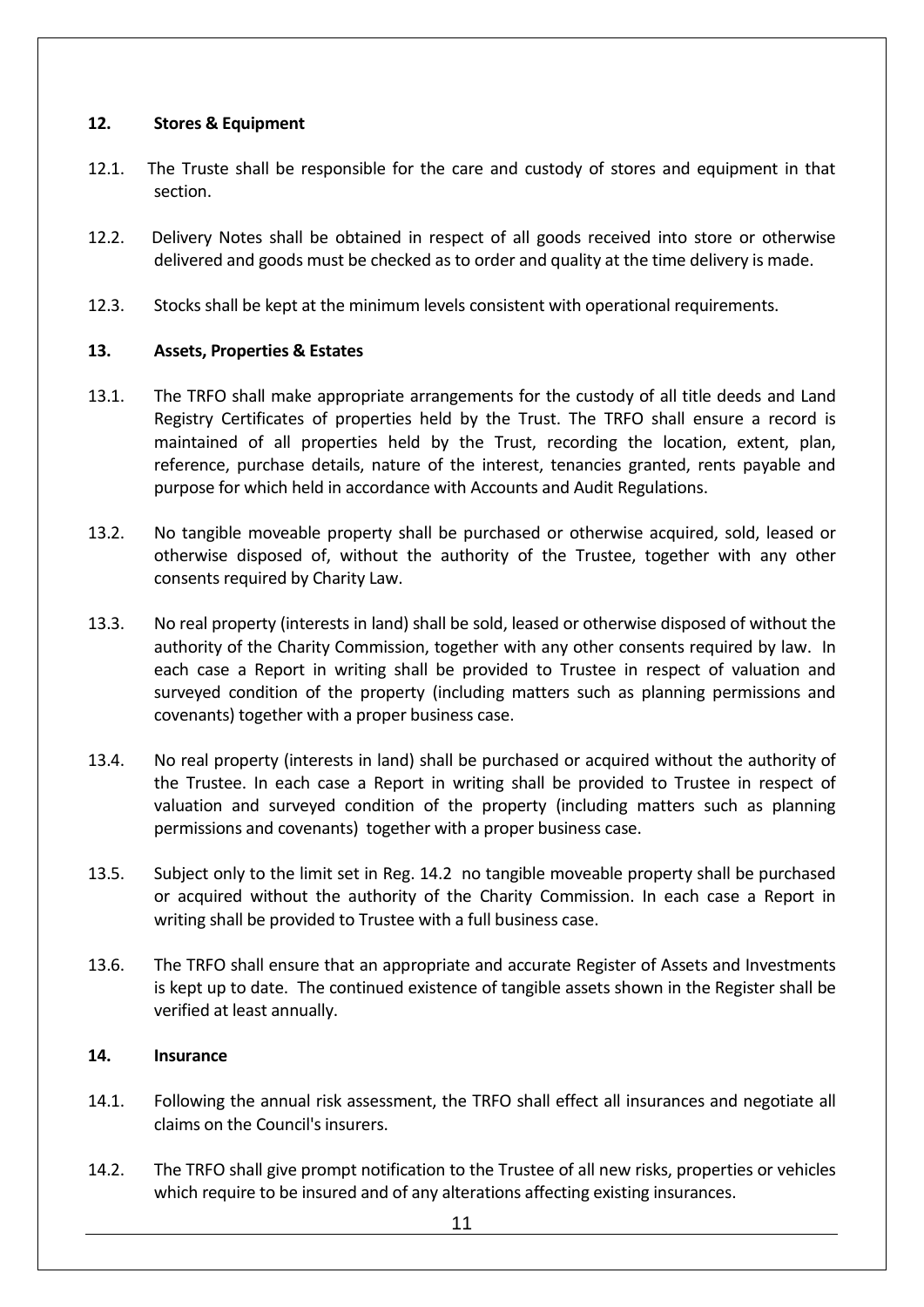## **12. Stores & Equipment**

- 12.1. The Truste shall be responsible for the care and custody of stores and equipment in that section.
- 12.2. Delivery Notes shall be obtained in respect of all goods received into store or otherwise delivered and goods must be checked as to order and quality at the time delivery is made.
- 12.3. Stocks shall be kept at the minimum levels consistent with operational requirements.

# **13. Assets, Properties & Estates**

- 13.1. The TRFO shall make appropriate arrangements for the custody of all title deeds and Land Registry Certificates of properties held by the Trust. The TRFO shall ensure a record is maintained of all properties held by the Trust, recording the location, extent, plan, reference, purchase details, nature of the interest, tenancies granted, rents payable and purpose for which held in accordance with Accounts and Audit Regulations.
- 13.2. No tangible moveable property shall be purchased or otherwise acquired, sold, leased or otherwise disposed of, without the authority of the Trustee, together with any other consents required by Charity Law.
- 13.3. No real property (interests in land) shall be sold, leased or otherwise disposed of without the authority of the Charity Commission, together with any other consents required by law. In each case a Report in writing shall be provided to Trustee in respect of valuation and surveyed condition of the property (including matters such as planning permissions and covenants) together with a proper business case.
- 13.4. No real property (interests in land) shall be purchased or acquired without the authority of the Trustee. In each case a Report in writing shall be provided to Trustee in respect of valuation and surveyed condition of the property (including matters such as planning permissions and covenants) together with a proper business case.
- 13.5. Subject only to the limit set in Reg. 14.2 no tangible moveable property shall be purchased or acquired without the authority of the Charity Commission. In each case a Report in writing shall be provided to Trustee with a full business case.
- 13.6. The TRFO shall ensure that an appropriate and accurate Register of Assets and Investments is kept up to date. The continued existence of tangible assets shown in the Register shall be verified at least annually.

## **14. Insurance**

- 14.1. Following the annual risk assessment, the TRFO shall effect all insurances and negotiate all claims on the Council's insurers.
- 14.2. The TRFO shall give prompt notification to the Trustee of all new risks, properties or vehicles which require to be insured and of any alterations affecting existing insurances.